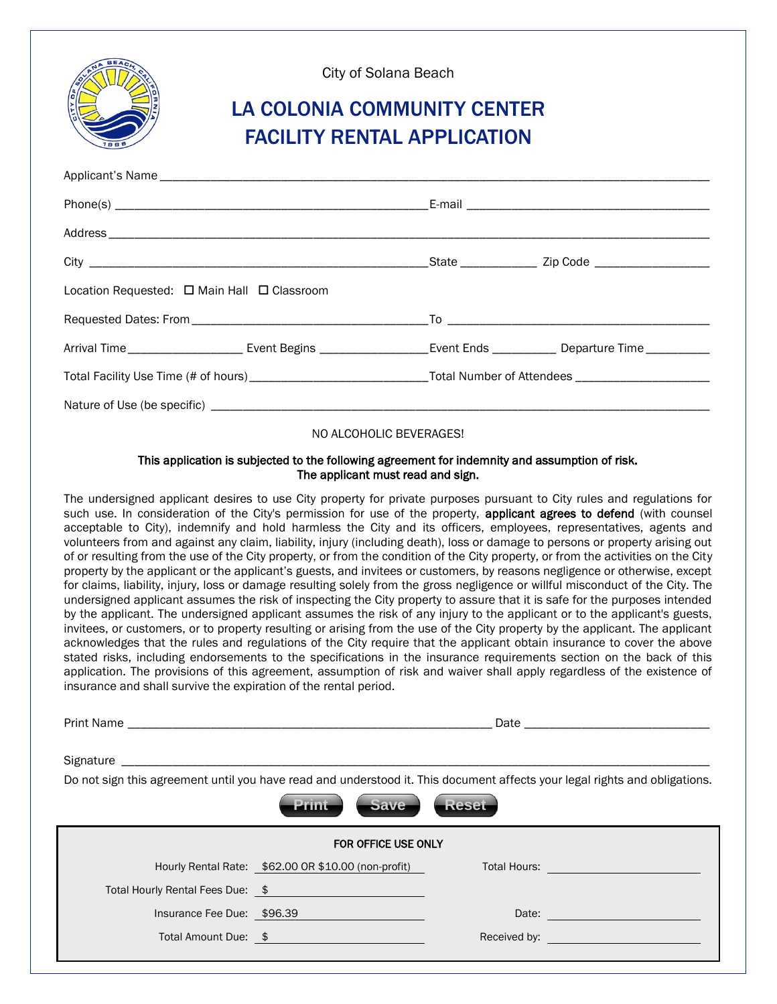

City of Solana Beach

## LA COLONIA COMMUNITY CENTER FACILITY RENTAL APPLICATION

| Location Requested: □ Main Hall □ Classroom                                                                                    |  |  |
|--------------------------------------------------------------------------------------------------------------------------------|--|--|
|                                                                                                                                |  |  |
| Arrival Time _______________________ Event Begins _______________________Event Ends _______________ Departure Time ___________ |  |  |
|                                                                                                                                |  |  |
|                                                                                                                                |  |  |

## NO ALCOHOLIC BEVERAGES!

## This application is subjected to the following agreement for indemnity and assumption of risk. The applicant must read and sign.

The undersigned applicant desires to use City property for private purposes pursuant to City rules and regulations for such use. In consideration of the City's permission for use of the property, applicant agrees to defend (with counsel acceptable to City), indemnify and hold harmless the City and its officers, employees, representatives, agents and volunteers from and against any claim, liability, injury (including death), loss or damage to persons or property arising out of or resulting from the use of the City property, or from the condition of the City property, or from the activities on the City property by the applicant or the applicant's guests, and invitees or customers, by reasons negligence or otherwise, except for claims, liability, injury, loss or damage resulting solely from the gross negligence or willful misconduct of the City. The undersigned applicant assumes the risk of inspecting the City property to assure that it is safe for the purposes intended by the applicant. The undersigned applicant assumes the risk of any injury to the applicant or to the applicant's guests, invitees, or customers, or to property resulting or arising from the use of the City property by the applicant. The applicant acknowledges that the rules and regulations of the City require that the applicant obtain insurance to cover the above stated risks, including endorsements to the specifications in the insurance requirements section on the back of this application. The provisions of this agreement, assumption of risk and waiver shall apply regardless of the existence of insurance and shall survive the expiration of the rental period.

Print Name \_\_\_\_\_\_\_\_\_\_\_\_\_\_\_\_\_\_\_\_\_\_\_\_\_\_\_\_\_\_\_\_\_\_\_\_\_\_\_\_\_\_\_\_\_\_\_\_\_\_\_\_\_\_\_\_\_ Date \_\_\_\_\_\_\_\_\_\_\_\_\_\_\_\_\_\_\_\_\_\_\_\_\_\_\_\_\_

Signature

Do not sign this agreement until you have read and understood it. This document affects your legal rights and obligations.

| <b>Print</b><br><b>Save</b><br><b>Reset</b> |                                                     |       |                                                                                                                                                                                                                                      |  |
|---------------------------------------------|-----------------------------------------------------|-------|--------------------------------------------------------------------------------------------------------------------------------------------------------------------------------------------------------------------------------------|--|
| FOR OFFICE USE ONLY                         |                                                     |       |                                                                                                                                                                                                                                      |  |
|                                             | Hourly Rental Rate: \$62.00 OR \$10.00 (non-profit) |       | <b>Total Hours:</b> The Communication of the Communication of the Communication of the Communication of the Communication                                                                                                            |  |
|                                             | Total Hourly Rental Fees Due: \$                    |       |                                                                                                                                                                                                                                      |  |
| Insurance Fee Due: \$96.39                  |                                                     | Date: |                                                                                                                                                                                                                                      |  |
| Total Amount Due: \$                        |                                                     |       | Received by: <b>with the contract of the contract of the contract of the contract of the contract of the contract of the contract of the contract of the contract of the contract of the contract of the contract of the contrac</b> |  |
|                                             |                                                     |       |                                                                                                                                                                                                                                      |  |